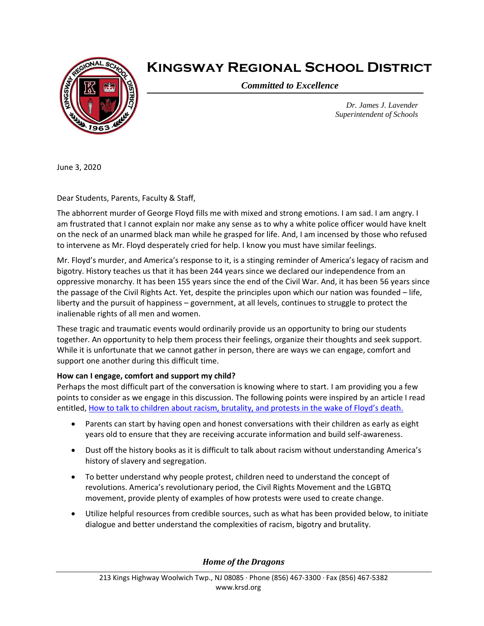

## **Kingsway Regional School District**

*Committed to Excellence*

*Dr. James J. Lavender Superintendent of Schools*

June 3, 2020

Dear Students, Parents, Faculty & Staff,

The abhorrent murder of George Floyd fills me with mixed and strong emotions. I am sad. I am angry. I am frustrated that I cannot explain nor make any sense as to why a white police officer would have knelt on the neck of an unarmed black man while he grasped for life. And, I am incensed by those who refused to intervene as Mr. Floyd desperately cried for help. I know you must have similar feelings.

Mr. Floyd's murder, and America's response to it, is a stinging reminder of America's legacy of racism and bigotry. History teaches us that it has been 244 years since we declared our independence from an oppressive monarchy. It has been 155 years since the end of the Civil War. And, it has been 56 years since the passage of the Civil Rights Act. Yet, despite the principles upon which our nation was founded – life, liberty and the pursuit of happiness – government, at all levels, continues to struggle to protect the inalienable rights of all men and women.

These tragic and traumatic events would ordinarily provide us an opportunity to bring our students together. An opportunity to help them process their feelings, organize their thoughts and seek support. While it is unfortunate that we cannot gather in person, there are ways we can engage, comfort and support one another during this difficult time.

## **How can I engage, comfort and support my child?**

Perhaps the most difficult part of the conversation is knowing where to start. I am providing you a few points to consider as we engage in this discussion. The following points were inspired by an article I read entitled, [How to talk to children about racism, brutality, and protests in the wake of Floyd's death.](https://www.insider.com/how-to-talk-to-children-about-racism-police-brutality-protests-2020-6)

- Parents can start by having open and honest conversations with their children as early as eight years old to ensure that they are receiving accurate information and build self-awareness.
- Dust off the history books as it is difficult to talk about racism without understanding America's history of slavery and segregation.
- To better understand why people protest, children need to understand the concept of revolutions. America's revolutionary period, the Civil Rights Movement and the LGBTQ movement, provide plenty of examples of how protests were used to create change.
- Utilize helpful resources from credible sources, such as what has been provided below, to initiate dialogue and better understand the complexities of racism, bigotry and brutality.

*Home of the Dragons*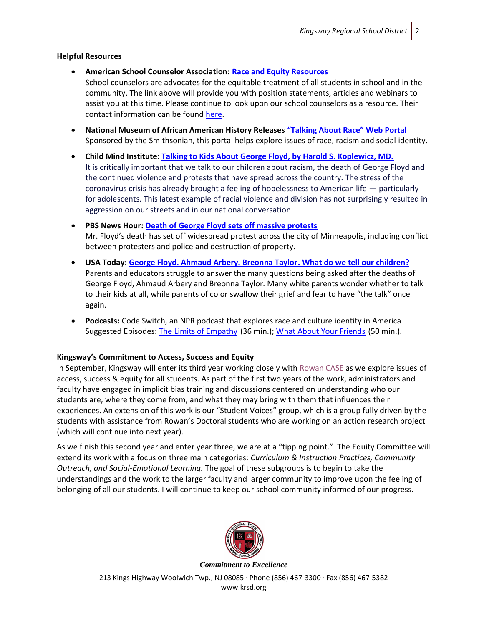## **Helpful Resources**

- **American School Counselor Association: [Race and Equity Resources](https://www.schoolcounselor.org/school-counselors/professional-development/learn-more/race-and-equity-resources)** School counselors are advocates for the equitable treatment of all students in school and in the community. The link above will provide you with position statements, articles and webinars to assist you at this time. Please continue to look upon our school counselors as a resource. Their contact information can be found [here.](https://www.krsd.org/Page/1688)
- **National Museum of African American History Releases ["Talking About Race" Web Portal](https://nmaahc.si.edu/about/news/national-museum-african-american-history-and-culture-releases-talking-about-race-web)** Sponsored by the Smithsonian, this portal helps explore issues of race, racism and social identity.
- **Child Mind Institute: [Talking to Kids About George Floyd, by Harold S. Koplewicz, MD.](https://childmind.org/blog/talking-to-kids-about-george-floyd/)** It is critically important that we talk to our children about racism, the death of George Floyd and the continued violence and protests that have spread across the country. The stress of the coronavirus crisis has already brought a feeling of hopelessness to American life — particularly for adolescents. This latest example of racial violence and division has not surprisingly resulted in aggression on our streets and in our national conversation.
- **PBS News Hour: [Death of George Floyd sets off massive protests](https://www.pbs.org/newshour/extra/daily-videos/the-death-of-george-floyd-sets-off-massive-protests/)** Mr. Floyd's death has set off widespread protest across the city of Minneapolis, including conflict between protesters and police and destruction of property.
- **USA Today: [George Floyd. Ahmaud Arbery. Breonna Taylor. What](https://www.usatoday.com/story/news/nation/2020/05/31/how-talk-kids-racism-racial-violence-police-brutality/5288065002/) do we tell our children?** Parents and educators struggle to answer the many questions being asked after the deaths of George Floyd, Ahmaud Arbery and Breonna Taylor. Many white parents wonder whether to talk to their kids at all, while parents of color swallow their grief and fear to have "the talk" once again.
- **Podcasts:** Code Switch, an NPR podcast that explores race and culture identity in America Suggested Episodes: [The Limits of Empathy](https://www.npr.org/2020/03/06/812864654/the-limits-of-empathy) (36 min.); [What About Your Friends](https://www.npr.org/2020/01/22/798367810/ask-code-switch-what-about-your-friends) (50 min.).

## **Kingsway's Commitment to Access, Success and Equity**

In September, Kingsway will enter its third year working closely with [Rowan CASE](https://education.rowan.edu/CASE/index.html) as we explore issues of access, success & equity for all students. As part of the first two years of the work, administrators and faculty have engaged in implicit bias training and discussions centered on understanding who our students are, where they come from, and what they may bring with them that influences their experiences. An extension of this work is our "Student Voices" group, which is a group fully driven by the students with assistance from Rowan's Doctoral students who are working on an action research project (which will continue into next year).

As we finish this second year and enter year three, we are at a "tipping point." The Equity Committee will extend its work with a focus on three main categories: *Curriculum & Instruction Practices, Community Outreach, and Social-Emotional Learning.* The goal of these subgroups is to begin to take the understandings and the work to the larger faculty and larger community to improve upon the feeling of belonging of all our students. I will continue to keep our school community informed of our progress.



213 Kings Highway Woolwich Twp., NJ 08085 ∙ Phone (856) 467-3300 ∙ Fax (856) 467-5382 www.krsd.org